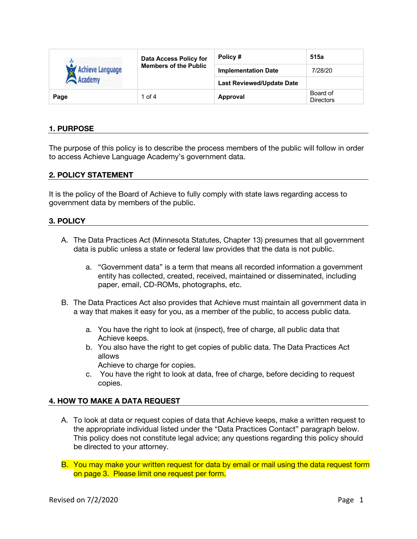| $\sqrt{2}$<br><b>Achieve Language</b><br><b>Academy</b> | <b>Data Access Policy for</b><br><b>Members of the Public</b> | Policy #                         | 515a                         |
|---------------------------------------------------------|---------------------------------------------------------------|----------------------------------|------------------------------|
|                                                         |                                                               | <b>Implementation Date</b>       | 7/28/20                      |
|                                                         |                                                               | <b>Last Reviewed/Update Date</b> |                              |
| Page                                                    | 1 of $4$                                                      | Approval                         | Board of<br><b>Directors</b> |

## **1. PURPOSE**

The purpose of this policy is to describe the process members of the public will follow in order to access Achieve Language Academy's government data.

#### **2. POLICY STATEMENT**

It is the policy of the Board of Achieve to fully comply with state laws regarding access to government data by members of the public.

#### **3. POLICY**

- A. The Data Practices Act (Minnesota Statutes, Chapter 13) presumes that all government data is public unless a state or federal law provides that the data is not public.
	- a. "Government data" is a term that means all recorded information a government entity has collected, created, received, maintained or disseminated, including paper, email, CD-ROMs, photographs, etc.
- B. The Data Practices Act also provides that Achieve must maintain all government data in a way that makes it easy for you, as a member of the public, to access public data.
	- a. You have the right to look at (inspect), free of charge, all public data that Achieve keeps.
	- b. You also have the right to get copies of public data. The Data Practices Act allows

Achieve to charge for copies.

c. You have the right to look at data, free of charge, before deciding to request copies.

#### **4. HOW TO MAKE A DATA REQUEST**

- A. To look at data or request copies of data that Achieve keeps, make a written request to the appropriate individual listed under the "Data Practices Contact" paragraph below. This policy does not constitute legal advice; any questions regarding this policy should be directed to your attorney.
- B. You may make your written request for data by email or mail using the data request form on page 3. Please limit one request per form.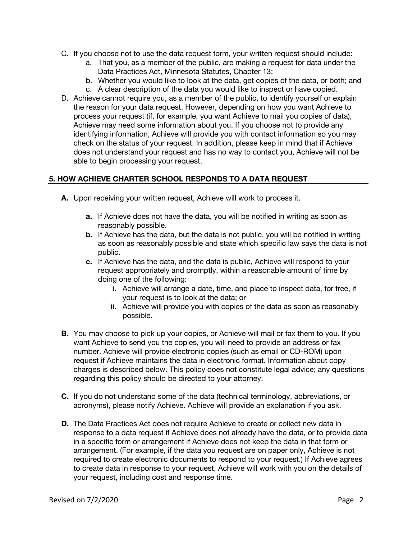- C. If you choose not to use the data request form, your written request should include:
	- a. That you, as a member of the public, are making a request for data under the Data Practices Act, Minnesota Statutes, Chapter 13;
	- b. Whether you would like to look at the data, get copies of the data, or both; and
	- c. A clear description of the data you would like to inspect or have copied.
- D. Achieve cannot require you, as a member of the public, to identify yourself or explain the reason for your data request. However, depending on how you want Achieve to process your request (if, for example, you want Achieve to mail you copies of data), Achieve may need some information about you. If you choose not to provide any identifying information, Achieve will provide you with contact information so you may check on the status of your request. In addition, please keep in mind that if Achieve does not understand your request and has no way to contact you, Achieve will not be able to begin processing your request.

# **5. HOW ACHIEVE CHARTER SCHOOL RESPONDS TO A DATA REQUEST**

- **A.** Upon receiving your written request, Achieve will work to process it.
	- **a.** If Achieve does not have the data, you will be notified in writing as soon as reasonably possible.
	- **b.** If Achieve has the data, but the data is not public, you will be notified in writing as soon as reasonably possible and state which specific law says the data is not public.
	- **c.** If Achieve has the data, and the data is public, Achieve will respond to your request appropriately and promptly, within a reasonable amount of time by doing one of the following:
		- **i.** Achieve will arrange a date, time, and place to inspect data, for free, if your request is to look at the data; or
		- **ii.** Achieve will provide you with copies of the data as soon as reasonably possible.
- **B.** You may choose to pick up your copies, or Achieve will mail or fax them to you. If you want Achieve to send you the copies, you will need to provide an address or fax number. Achieve will provide electronic copies (such as email or CD-ROM) upon request if Achieve maintains the data in electronic format. Information about copy charges is described below. This policy does not constitute legal advice; any questions regarding this policy should be directed to your attorney.
- **C.** If you do not understand some of the data (technical terminology, abbreviations, or acronyms), please notify Achieve. Achieve will provide an explanation if you ask.
- **D.** The Data Practices Act does not require Achieve to create or collect new data in response to a data request if Achieve does not already have the data, or to provide data in a specific form or arrangement if Achieve does not keep the data in that form or arrangement. (For example, if the data you request are on paper only, Achieve is not required to create electronic documents to respond to your request.) If Achieve agrees to create data in response to your request, Achieve will work with you on the details of your request, including cost and response time.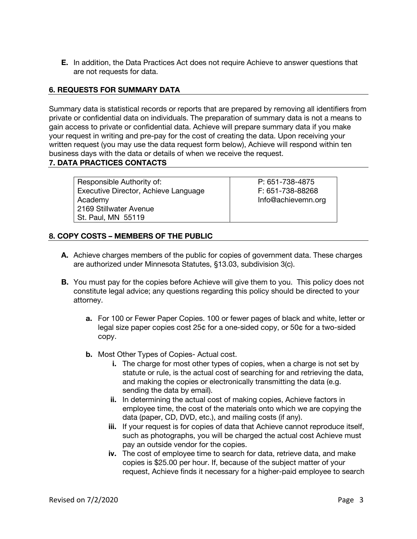**E.** In addition, the Data Practices Act does not require Achieve to answer questions that are not requests for data.

#### **6. REQUESTS FOR SUMMARY DATA**

Summary data is statistical records or reports that are prepared by removing all identifiers from private or confidential data on individuals. The preparation of summary data is not a means to gain access to private or confidential data. Achieve will prepare summary data if you make your request in writing and pre-pay for the cost of creating the data. Upon receiving your written request (you may use the data request form below), Achieve will respond within ten business days with the data or details of when we receive the request.

## **7. DATA PRACTICES CONTACTS**

Responsible Authority of: Executive Director, Achieve Language Academy 2169 Stillwater Avenue St. Paul, MN 55119

P: 651-738-4875 F: 651-738-88268 Info@achievemn.org

# **8. COPY COSTS – MEMBERS OF THE PUBLIC**

- **A.** Achieve charges members of the public for copies of government data. These charges are authorized under Minnesota Statutes, §13.03, subdivision 3(c).
- **B.** You must pay for the copies before Achieve will give them to you. This policy does not constitute legal advice; any questions regarding this policy should be directed to your attorney.
	- **a.** For 100 or Fewer Paper Copies. 100 or fewer pages of black and white, letter or legal size paper copies cost 25¢ for a one-sided copy, or 50¢ for a two-sided copy.
	- **b.** Most Other Types of Copies- Actual cost.
		- **i.** The charge for most other types of copies, when a charge is not set by statute or rule, is the actual cost of searching for and retrieving the data, and making the copies or electronically transmitting the data (e.g. sending the data by email).
		- **ii.** In determining the actual cost of making copies, Achieve factors in employee time, the cost of the materials onto which we are copying the data (paper, CD, DVD, etc.), and mailing costs (if any).
		- **iii.** If your request is for copies of data that Achieve cannot reproduce itself, such as photographs, you will be charged the actual cost Achieve must pay an outside vendor for the copies.
		- **iv.** The cost of employee time to search for data, retrieve data, and make copies is \$25.00 per hour. If, because of the subject matter of your request, Achieve finds it necessary for a higher-paid employee to search